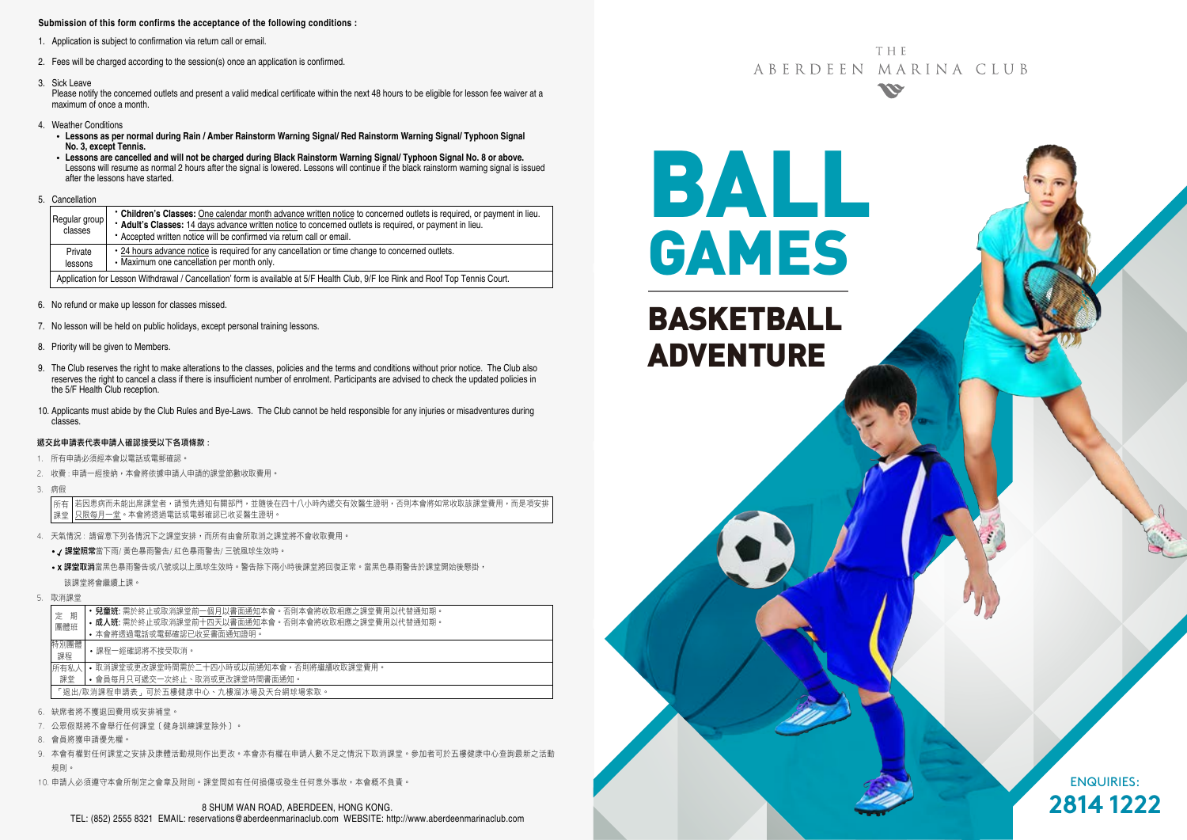#### **Submission of this form confirms the acceptance of the following conditions :**

- 1. Application is subject to confirmation via return call or email.
- 2. Fees will be charged according to the session(s) once an application is confirmed.
- 3. Sick Leave

Please notify the concerned outlets and present a valid medical certificate within the next 48 hours to be eligible for lesson fee waiver at a maximum of once a month.

- 4. Weather Conditions
	- **Lessons as per normal during Rain / Amber Rainstorm Warning Signal/ Red Rainstorm Warning Signal/ Typhoon Signal No. 3, except Tennis.**
	- **Lessons are cancelled and will not be charged during Black Rainstorm Warning Signal/ Typhoon Signal No. 8 or above.** Lessons will resume as normal 2 hours after the signal is lowered. Lessons will continue if the black rainstorm warning signal is issued after the lessons have started.
- 5. Cancellation

| Regular group<br>classes                                                                                                        | • Children's Classes: One calendar month advance written notice to concerned outlets is required, or payment in lieu.<br>* Adult's Classes: 14 days advance written notice to concerned outlets is required, or payment in lieu.<br>* Accepted written notice will be confirmed via return call or email. |  |  |  |
|---------------------------------------------------------------------------------------------------------------------------------|-----------------------------------------------------------------------------------------------------------------------------------------------------------------------------------------------------------------------------------------------------------------------------------------------------------|--|--|--|
| Private<br>lessons                                                                                                              | • 24 hours advance notice is required for any cancellation or time change to concerned outlets.<br>• Maximum one cancellation per month only.                                                                                                                                                             |  |  |  |
| Application for Lesson Withdrawal / Cancellation' form is available at 5/F Health Club, 9/F Ice Rink and Roof Top Tennis Court. |                                                                                                                                                                                                                                                                                                           |  |  |  |

- 6. No refund or make up lesson for classes missed.
- 7. No lesson will be held on public holidays, except personal training lessons.
- 8. Priority will be given to Members.
- 9. The Club reserves the right to make alterations to the classes, policies and the terms and conditions without prior notice. The Club also reserves the right to cancel a class if there is insufficient number of enrolment. Participants are advised to check the updated policies in the 5/F Health Club reception.
- 10. Applicants must abide by the Club Rules and Bye-Laws. The Club cannot be held responsible for any injuries or misadventures during classes.

#### 遞交此申請表代表申請人確認接受以下各項條款 :

- 1. 所有申請必須經本會以電話或電郵確認。
- 2. 收費: 申請一經接納, 本會將依據申請人申請的課堂節數收取費用,
- 3. 病假

若因患病而未能出席課堂者,請預先通知有關部門,並隨後在四十八小時內遞交有效醫生證明,否則本會將如常收取該課堂費用,而是項安排 只限每月一堂。本會將透過電話或電郵確認已收妥醫生證明。 所有 課堂

- 4. 天氣情況 : 請留意下列各情況下之課堂安排,而所有由會所取消之課堂將不會收取費用。
	- / 課堂照常當下雨/ 黃色暴雨警告/ 紅色暴雨警告/ 三號風球生效時。
	- x 課堂取消當黑色暴雨警告或八號或以上風球生效時。警告除下兩小時後課堂將回復正常。當黑色暴雨警告於課堂開始後懸掛, 該課堂將會繼續上課。
- 5. 取消課堂

|                                     | 期<br>定<br>團體班 |  | • 兒童班: 需於終止或取消課堂前一個月以書面通知本會。否則本會將收取相應之課堂費用以代替通知期。<br>• 成人班: 需於終止或取消課堂前十四天以書面通知本會。否則本會將收取相應之課堂費用以代替通知期。<br>• 本會將诱過電話或電郵確認已收妥書面通知證明。 |  |  |
|-------------------------------------|---------------|--|------------------------------------------------------------------------------------------------------------------------------------|--|--|
|                                     | 特別團體<br>課程    |  | • 課程一經確認將不接受取消。                                                                                                                    |  |  |
|                                     | 所有私人          |  | • 取消課堂或更改課堂時間需於二十四小時或以前通知本會,否則將繼續收取課堂費用。                                                                                           |  |  |
| • 會員每月只可遞交一次終止、取消或更改課堂時間書面通知。<br>課堂 |               |  |                                                                                                                                    |  |  |
| 「狠出/取消課程申請表,可於五樓健康中心、九樓溜冰場及天台網球場索取。 |               |  |                                                                                                                                    |  |  |
|                                     |               |  |                                                                                                                                    |  |  |

- 6. 缺席者將不獲退回費用或安排補堂。
- 7. 公眾假期將不會舉行任何課堂﹝健身訓練課堂除外﹞。
- 8. 會員將獲申請優先權。
- 9. 本會有權對任何課堂之安排及康體活動規則作出更改。本會亦有權在申請人數不足之情況下取消課堂。參加者可於五樓健康中心查詢最新之活動 規則。
- 10. 申請人必須遵守本會所制定之會章及附則。課堂間如有任何損傷或發生任何意外事故,本會概不負責。



BALL

GAMES

BASKETBALL

ADVENTURE